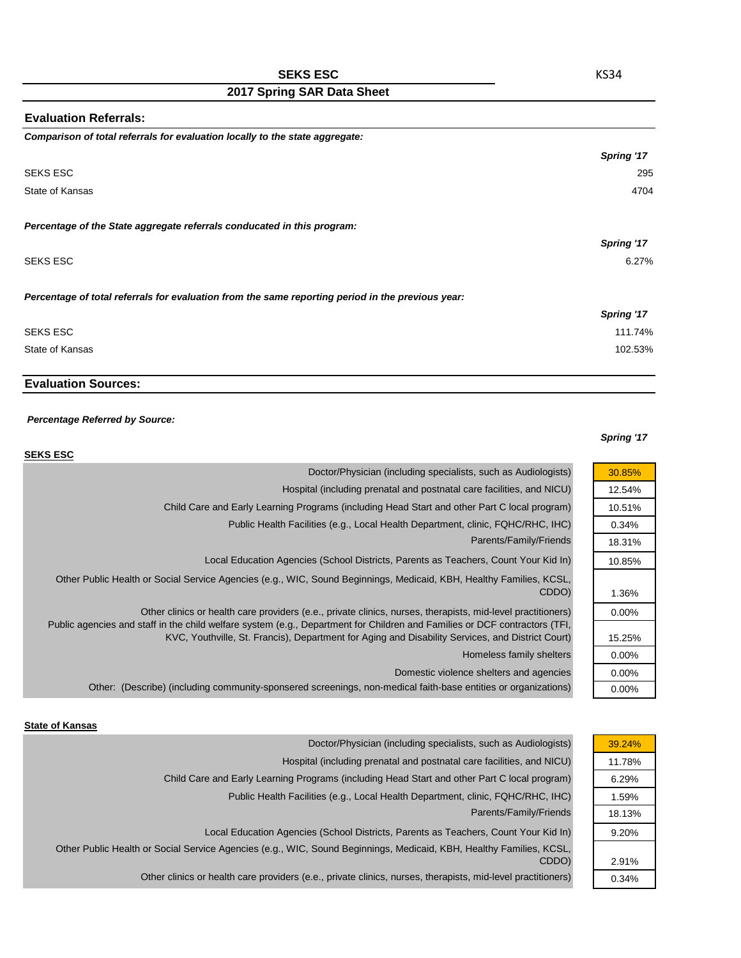### **SEKS ESC**

# **2017 Spring SAR Data Sheet**

| <b>Evaluation Referrals:</b>                                                                      |            |
|---------------------------------------------------------------------------------------------------|------------|
| Comparison of total referrals for evaluation locally to the state aggregate:                      |            |
|                                                                                                   | Spring '17 |
| SEKS ESC                                                                                          | 295        |
| State of Kansas                                                                                   | 4704       |
| Percentage of the State aggregate referrals conducated in this program:                           |            |
|                                                                                                   | Spring '17 |
| SEKS ESC                                                                                          | 6.27%      |
| Percentage of total referrals for evaluation from the same reporting period in the previous year: |            |
|                                                                                                   | Spring '17 |
| <b>SEKS ESC</b>                                                                                   | 111.74%    |
| State of Kansas                                                                                   | 102.53%    |

## **Evaluation Sources:**

#### *Percentage Referred by Source:*

#### *Spring '17*

| <b>SEKS ESC</b>                                                                                                                                                                                                                           |          |
|-------------------------------------------------------------------------------------------------------------------------------------------------------------------------------------------------------------------------------------------|----------|
| Doctor/Physician (including specialists, such as Audiologists)                                                                                                                                                                            | 30.85%   |
| Hospital (including prenatal and postnatal care facilities, and NICU)                                                                                                                                                                     | 12.54%   |
| Child Care and Early Learning Programs (including Head Start and other Part C local program)                                                                                                                                              | 10.51%   |
| Public Health Facilities (e.g., Local Health Department, clinic, FQHC/RHC, IHC)                                                                                                                                                           | 0.34%    |
| Parents/Family/Friends                                                                                                                                                                                                                    | 18.31%   |
| Local Education Agencies (School Districts, Parents as Teachers, Count Your Kid In)                                                                                                                                                       | 10.85%   |
| Other Public Health or Social Service Agencies (e.g., WIC, Sound Beginnings, Medicaid, KBH, Healthy Families, KCSL,<br>CDDO)                                                                                                              | 1.36%    |
| Other clinics or health care providers (e.e., private clinics, nurses, therapists, mid-level practitioners)<br>Public agencies and staff in the child welfare system (e.g., Department for Children and Families or DCF contractors (TFI, | $0.00\%$ |
| KVC, Youthville, St. Francis), Department for Aging and Disability Services, and District Court)                                                                                                                                          | 15.25%   |
| Homeless family shelters                                                                                                                                                                                                                  | $0.00\%$ |
| Domestic violence shelters and agencies                                                                                                                                                                                                   | $0.00\%$ |
| Other: (Describe) (including community-sponsered screenings, non-medical faith-base entities or organizations)                                                                                                                            | $0.00\%$ |

#### **State of Kansas**

| Doctor/Physician (including specialists, such as Audiologists)                                                      | 39.24% |
|---------------------------------------------------------------------------------------------------------------------|--------|
| Hospital (including prenatal and postnatal care facilities, and NICU)                                               | 11.78% |
| Child Care and Early Learning Programs (including Head Start and other Part C local program)                        | 6.29%  |
| Public Health Facilities (e.g., Local Health Department, clinic, FQHC/RHC, IHC)                                     | 1.59%  |
| Parents/Family/Friends                                                                                              | 18.13% |
| Local Education Agencies (School Districts, Parents as Teachers, Count Your Kid In)                                 | 9.20%  |
| Other Public Health or Social Service Agencies (e.g., WIC, Sound Beginnings, Medicaid, KBH, Healthy Families, KCSL, |        |
| CDDO)                                                                                                               | 2.91%  |
| Other clinics or health care providers (e.e., private clinics, nurses, therapists, mid-level practitioners)         | 0.34%  |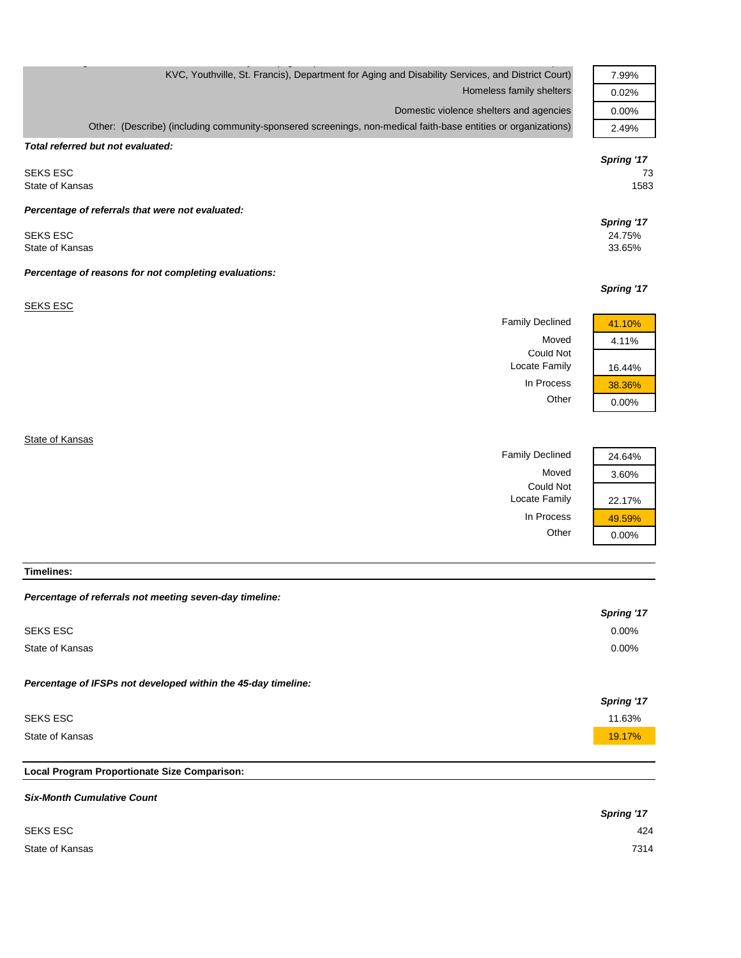| KVC, Youthville, St. Francis), Department for Aging and Disability Services, and District Court)               | 7.99%      |
|----------------------------------------------------------------------------------------------------------------|------------|
| Homeless family shelters                                                                                       | 0.02%      |
| Domestic violence shelters and agencies                                                                        | 0.00%      |
| Other: (Describe) (including community-sponsered screenings, non-medical faith-base entities or organizations) | 2.49%      |
| Total referred but not evaluated:                                                                              |            |
|                                                                                                                | Spring '17 |
| <b>SEKS ESC</b>                                                                                                | 73         |
| State of Kansas                                                                                                | 1583       |
| Percentage of referrals that were not evaluated:                                                               |            |
|                                                                                                                | Spring '17 |
| <b>SEKS ESC</b>                                                                                                | 24.75%     |
| State of Kansas                                                                                                | 33.65%     |
| Percentage of reasons for not completing evaluations:                                                          |            |
|                                                                                                                | Spring '17 |
| <b>SEKS ESC</b>                                                                                                |            |
| <b>Family Declined</b>                                                                                         | 41.10%     |
| Moved                                                                                                          | 4.11%      |
| <b>Could Not</b>                                                                                               |            |
| Locate Family                                                                                                  | 16.44%     |
| In Process                                                                                                     | 38.36%     |
| Other                                                                                                          | 0.00%      |
|                                                                                                                |            |
| State of Kansas                                                                                                |            |
| <b>Family Declined</b>                                                                                         | 24.64%     |

In Process  $\frac{49.59\%}{0.00\%}$ *Percentage of referrals not meeting seven-day timeline:*

Moved 3.60%

 $0.00%$ 

Locate Family 22.17%

Could Not

| reluctingle of referrals not integrity sever use uniquitie.   |            |
|---------------------------------------------------------------|------------|
|                                                               | Spring '17 |
| SEKS ESC                                                      | $0.00\%$   |
| State of Kansas                                               | $0.00\%$   |
| Percentage of IFSPs not developed within the 45-day timeline: |            |
|                                                               | Spring '17 |
| <b>SEKS ESC</b>                                               | 11.63%     |
| State of Kansas                                               | 19.17%     |
|                                                               |            |

### **Local Program Proportionate Size Comparison:**

**Timelines:**

| <b>Six-Month Cumulative Count</b> |            |
|-----------------------------------|------------|
|                                   | Spring '17 |
| <b>SEKS ESC</b>                   | 424        |
| State of Kansas                   | 7314       |